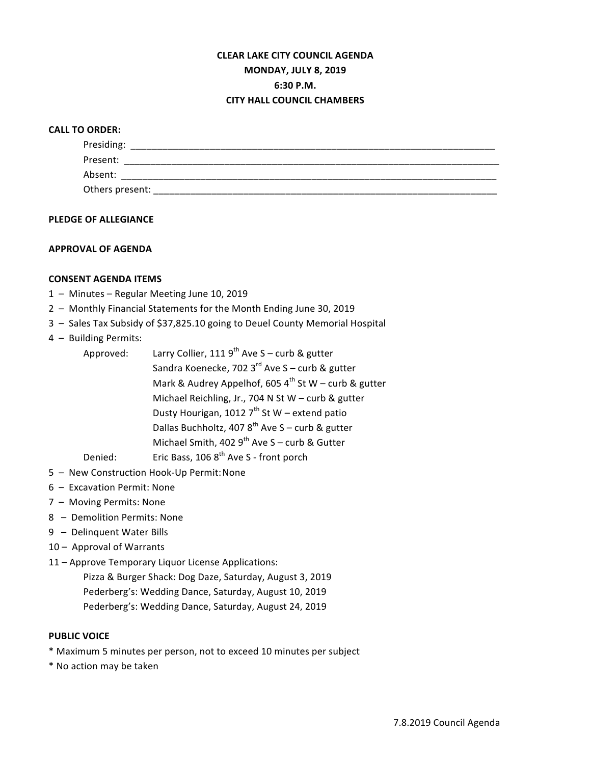# **CLEAR LAKE CITY COUNCIL AGENDA MONDAY, JULY 8, 2019 6:30 P.M. CITY HALL COUNCIL CHAMBERS**

# **CALL TO ORDER:**

| Presiding:      |  |  |
|-----------------|--|--|
| Present:        |  |  |
| Absent:         |  |  |
| Others present: |  |  |

#### **PLEDGE OF ALLEGIANCE**

# **APPROVAL OF AGENDA**

# **CONSENT AGENDA ITEMS**

- 1 Minutes Regular Meeting June 10, 2019
- 2 Monthly Financial Statements for the Month Ending June 30, 2019
- 3 Sales Tax Subsidy of \$37,825.10 going to Deuel County Memorial Hospital
- 4 Building Permits:

| Approved: | Larry Collier, 111 9 <sup>th</sup> Ave S – curb & gutter  |  |  |
|-----------|-----------------------------------------------------------|--|--|
|           | Sandra Koenecke, 702 3rd Ave S - curb & gutter            |  |  |
|           | Mark & Audrey Appelhof, 605 $4^{th}$ St W – curb & gutter |  |  |
|           | Michael Reichling, Jr., 704 N St W - curb & gutter        |  |  |
|           | Dusty Hourigan, 1012 $7^{th}$ St W – extend patio         |  |  |
|           | Dallas Buchholtz, 407 $8^{th}$ Ave S – curb & gutter      |  |  |
|           | Michael Smith, 402 $9^{th}$ Ave S - curb & Gutter         |  |  |
| Denied:   | Eric Bass, 106 8 <sup>th</sup> Ave S - front porch        |  |  |

- 5 New Construction Hook-Up Permit: None
- $6 -$  Excavation Permit: None
- 7 Moving Permits: None
- 8 Demolition Permits: None
- 9 Delinquent Water Bills
- 10 Approval of Warrants
- 11 Approve Temporary Liquor License Applications:

Pizza & Burger Shack: Dog Daze, Saturday, August 3, 2019 Pederberg's: Wedding Dance, Saturday, August 10, 2019 Pederberg's: Wedding Dance, Saturday, August 24, 2019

# **PUBLIC VOICE**

- \* Maximum 5 minutes per person, not to exceed 10 minutes per subject
- \* No action may be taken